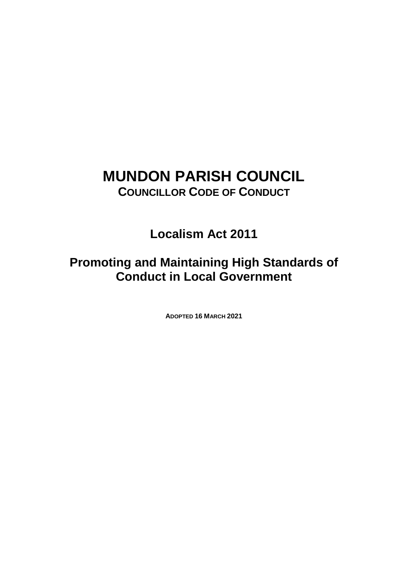# **MUNDON PARISH COUNCIL COUNCILLOR CODE OF CONDUCT**

**Localism Act 2011**

**Promoting and Maintaining High Standards of Conduct in Local Government**

**ADOPTED 16 MARCH 2021**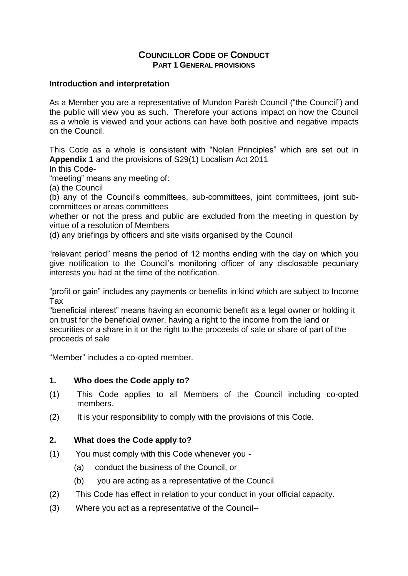## **COUNCILLOR CODE OF CONDUCT PART 1 GENERAL PROVISIONS**

#### **Introduction and interpretation**

As a Member you are a representative of Mundon Parish Council ("the Council") and the public will view you as such. Therefore your actions impact on how the Council as a whole is viewed and your actions can have both positive and negative impacts on the Council.

This Code as a whole is consistent with "Nolan Principles" which are set out in **Appendix 1** and the provisions of S29(1) Localism Act 2011

In this Code-

"meeting" means any meeting of:

(a) the Council

(b) any of the Council's committees, sub-committees, joint committees, joint subcommittees or areas committees

whether or not the press and public are excluded from the meeting in question by virtue of a resolution of Members

(d) any briefings by officers and site visits organised by the Council

"relevant period" means the period of 12 months ending with the day on which you give notification to the Council's monitoring officer of any disclosable pecuniary interests you had at the time of the notification.

"profit or gain" includes any payments or benefits in kind which are subject to Income Tax

"beneficial interest" means having an economic benefit as a legal owner or holding it on trust for the beneficial owner, having a right to the income from the land or securities or a share in it or the right to the proceeds of sale or share of part of the proceeds of sale

"Member" includes a co-opted member.

# **1. Who does the Code apply to?**

- (1) This Code applies to all Members of the Council including co-opted members.
- (2) It is your responsibility to comply with the provisions of this Code.

# **2. What does the Code apply to?**

- (1) You must comply with this Code whenever you
	- (a) conduct the business of the Council, or
	- (b) you are acting as a representative of the Council.
- (2) This Code has effect in relation to your conduct in your official capacity.
- (3) Where you act as a representative of the Council--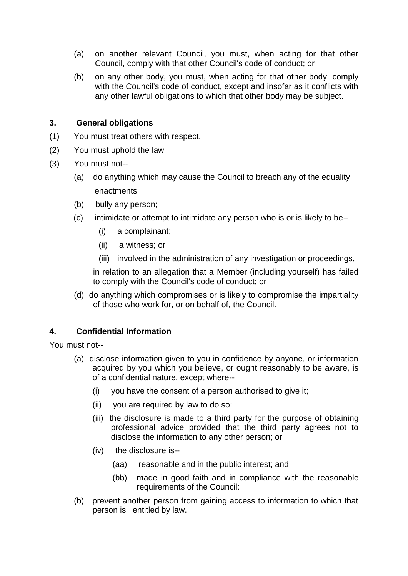- (a) on another relevant Council, you must, when acting for that other Council, comply with that other Council's code of conduct; or
- (b) on any other body, you must, when acting for that other body, comply with the Council's code of conduct, except and insofar as it conflicts with any other lawful obligations to which that other body may be subject.

#### **3. General obligations**

- (1) You must treat others with respect.
- (2) You must uphold the law
- (3) You must not--
	- (a) do anything which may cause the Council to breach any of the equality enactments
	- (b) bully any person;
	- (c) intimidate or attempt to intimidate any person who is or is likely to be--
		- (i) a complainant;
		- (ii) a witness; or
		- (iii) involved in the administration of any investigation or proceedings,

in relation to an allegation that a Member (including yourself) has failed to comply with the Council's code of conduct; or

(d) do anything which compromises or is likely to compromise the impartiality of those who work for, or on behalf of, the Council.

# **4. Confidential Information**

You must not--

- (a) disclose information given to you in confidence by anyone, or information acquired by you which you believe, or ought reasonably to be aware, is of a confidential nature, except where--
	- (i) you have the consent of a person authorised to give it;
	- (ii) you are required by law to do so;
	- (iii) the disclosure is made to a third party for the purpose of obtaining professional advice provided that the third party agrees not to disclose the information to any other person; or
	- (iv) the disclosure is--
		- (aa) reasonable and in the public interest; and
		- (bb) made in good faith and in compliance with the reasonable requirements of the Council:
- (b) prevent another person from gaining access to information to which that person is entitled by law.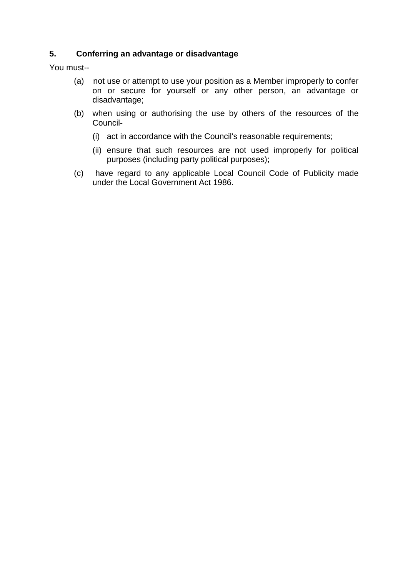# **5. Conferring an advantage or disadvantage**

You must--

- (a) not use or attempt to use your position as a Member improperly to confer on or secure for yourself or any other person, an advantage or disadvantage;
- (b) when using or authorising the use by others of the resources of the Council-
	- (i) act in accordance with the Council's reasonable requirements;
	- (ii) ensure that such resources are not used improperly for political purposes (including party political purposes);
- (c) have regard to any applicable Local Council Code of Publicity made under the Local Government Act 1986.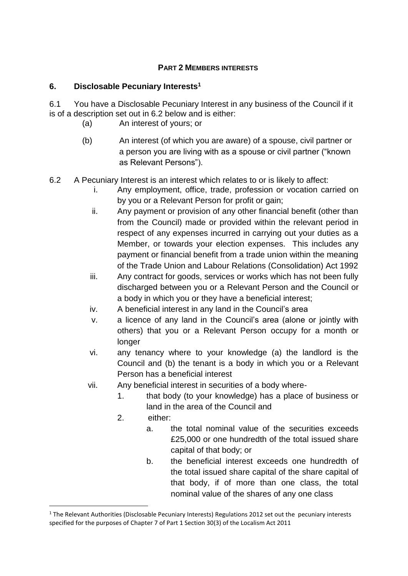# **PART 2 MEMBERS INTERESTS**

## **6. Disclosable Pecuniary Interests<sup>1</sup>**

6.1 You have a Disclosable Pecuniary Interest in any business of the Council if it is of a description set out in 6.2 below and is either:

- (a) An interest of yours; or
- (b) An interest (of which you are aware) of a spouse, civil partner or a person you are living with as a spouse or civil partner ("known as Relevant Persons").
- 6.2 A Pecuniary Interest is an interest which relates to or is likely to affect:
	- i. Any employment, office, trade, profession or vocation carried on by you or a Relevant Person for profit or gain;
	- ii. Any payment or provision of any other financial benefit (other than from the Council) made or provided within the relevant period in respect of any expenses incurred in carrying out your duties as a Member, or towards your election expenses. This includes any payment or financial benefit from a trade union within the meaning of the Trade Union and Labour Relations (Consolidation) Act 1992
	- iii. Any contract for goods, services or works which has not been fully discharged between you or a Relevant Person and the Council or a body in which you or they have a beneficial interest;
	- iv. A beneficial interest in any land in the Council's area
	- v. a licence of any land in the Council's area (alone or jointly with others) that you or a Relevant Person occupy for a month or longer
	- vi. any tenancy where to your knowledge (a) the landlord is the Council and (b) the tenant is a body in which you or a Relevant Person has a beneficial interest
	- vii. Any beneficial interest in securities of a body where-
		- 1. that body (to your knowledge) has a place of business or land in the area of the Council and
		- 2. either:

<u>.</u>

- a. the total nominal value of the securities exceeds £25,000 or one hundredth of the total issued share capital of that body; or
- b. the beneficial interest exceeds one hundredth of the total issued share capital of the share capital of that body, if of more than one class, the total nominal value of the shares of any one class

<sup>&</sup>lt;sup>1</sup> The Relevant Authorities (Disclosable Pecuniary Interests) Regulations 2012 set out the pecuniary interests specified for the purposes of Chapter 7 of Part 1 Section 30(3) of the Localism Act 2011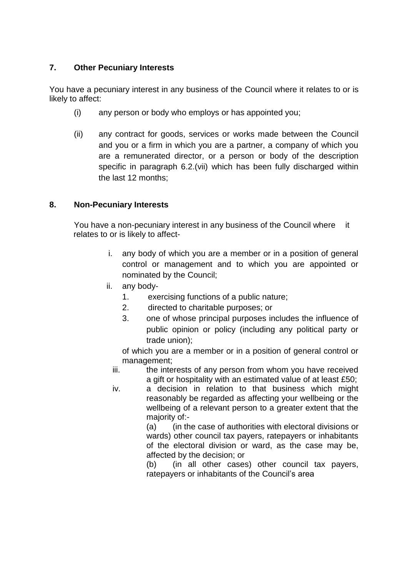# **7. Other Pecuniary Interests**

You have a pecuniary interest in any business of the Council where it relates to or is likely to affect:

- (i) any person or body who employs or has appointed you;
- (ii) any contract for goods, services or works made between the Council and you or a firm in which you are a partner, a company of which you are a remunerated director, or a person or body of the description specific in paragraph 6.2.(vii) which has been fully discharged within the last 12 months;

# **8. Non-Pecuniary Interests**

You have a non-pecuniary interest in any business of the Council where it relates to or is likely to affect-

- i. any body of which you are a member or in a position of general control or management and to which you are appointed or nominated by the Council;
- ii. any body-
	- 1. exercising functions of a public nature;
	- 2. directed to charitable purposes; or
	- 3. one of whose principal purposes includes the influence of public opinion or policy (including any political party or trade union);

of which you are a member or in a position of general control or management;

iii. the interests of any person from whom you have received a gift or hospitality with an estimated value of at least £50;

iv. a decision in relation to that business which might reasonably be regarded as affecting your wellbeing or the wellbeing of a relevant person to a greater extent that the majority of:-

(a) (in the case of authorities with electoral divisions or wards) other council tax payers, ratepayers or inhabitants of the electoral division or ward, as the case may be, affected by the decision; or

(b) (in all other cases) other council tax payers, ratepayers or inhabitants of the Council's area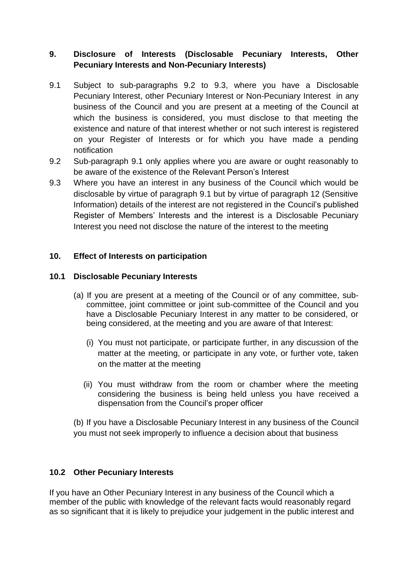# **9. Disclosure of Interests (Disclosable Pecuniary Interests, Other Pecuniary Interests and Non-Pecuniary Interests)**

- 9.1 Subject to sub-paragraphs 9.2 to 9.3, where you have a Disclosable Pecuniary Interest, other Pecuniary Interest or Non-Pecuniary Interest in any business of the Council and you are present at a meeting of the Council at which the business is considered, you must disclose to that meeting the existence and nature of that interest whether or not such interest is registered on your Register of Interests or for which you have made a pending notification
- 9.2 Sub-paragraph 9.1 only applies where you are aware or ought reasonably to be aware of the existence of the Relevant Person's Interest
- 9.3 Where you have an interest in any business of the Council which would be disclosable by virtue of paragraph 9.1 but by virtue of paragraph 12 (Sensitive Information) details of the interest are not registered in the Council's published Register of Members' Interests and the interest is a Disclosable Pecuniary Interest you need not disclose the nature of the interest to the meeting

# **10. Effect of Interests on participation**

#### **10.1 Disclosable Pecuniary Interests**

- (a) If you are present at a meeting of the Council or of any committee, subcommittee, joint committee or joint sub-committee of the Council and you have a Disclosable Pecuniary Interest in any matter to be considered, or being considered, at the meeting and you are aware of that Interest:
	- (i) You must not participate, or participate further, in any discussion of the matter at the meeting, or participate in any vote, or further vote, taken on the matter at the meeting
	- (ii) You must withdraw from the room or chamber where the meeting considering the business is being held unless you have received a dispensation from the Council's proper officer

(b) If you have a Disclosable Pecuniary Interest in any business of the Council you must not seek improperly to influence a decision about that business

#### **10.2 Other Pecuniary Interests**

If you have an Other Pecuniary Interest in any business of the Council which a member of the public with knowledge of the relevant facts would reasonably regard as so significant that it is likely to prejudice your judgement in the public interest and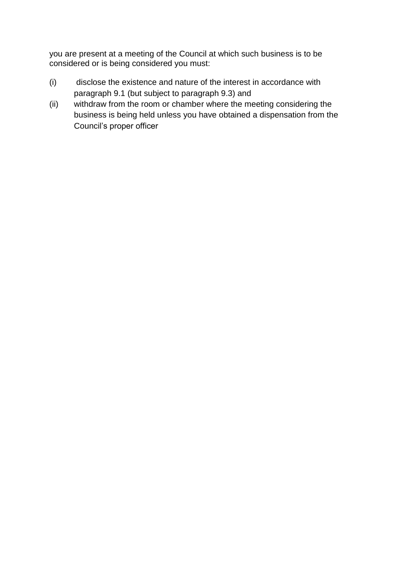you are present at a meeting of the Council at which such business is to be considered or is being considered you must:

- (i) disclose the existence and nature of the interest in accordance with paragraph 9.1 (but subject to paragraph 9.3) and
- (ii) withdraw from the room or chamber where the meeting considering the business is being held unless you have obtained a dispensation from the Council's proper officer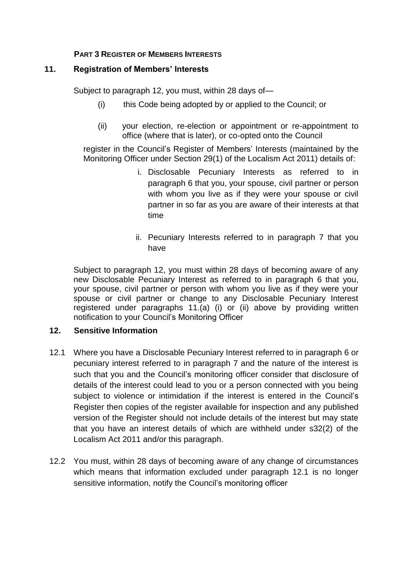# **PART 3 REGISTER OF MEMBERS INTERESTS**

#### **11. Registration of Members' Interests**

Subject to paragraph 12, you must, within 28 days of—

- (i) this Code being adopted by or applied to the Council; or
- (ii) your election, re-election or appointment or re-appointment to office (where that is later), or co-opted onto the Council

register in the Council's Register of Members' Interests (maintained by the Monitoring Officer under Section 29(1) of the Localism Act 2011) details of:

- i. Disclosable Pecuniary Interests as referred to in paragraph 6 that you, your spouse, civil partner or person with whom you live as if they were your spouse or civil partner in so far as you are aware of their interests at that time
- ii. Pecuniary Interests referred to in paragraph 7 that you have

Subject to paragraph 12, you must within 28 days of becoming aware of any new Disclosable Pecuniary Interest as referred to in paragraph 6 that you, your spouse, civil partner or person with whom you live as if they were your spouse or civil partner or change to any Disclosable Pecuniary Interest registered under paragraphs 11.(a) (i) or (ii) above by providing written notification to your Council's Monitoring Officer

#### **12. Sensitive Information**

- 12.1 Where you have a Disclosable Pecuniary Interest referred to in paragraph 6 or pecuniary interest referred to in paragraph 7 and the nature of the interest is such that you and the Council's monitoring officer consider that disclosure of details of the interest could lead to you or a person connected with you being subject to violence or intimidation if the interest is entered in the Council's Register then copies of the register available for inspection and any published version of the Register should not include details of the interest but may state that you have an interest details of which are withheld under s32(2) of the Localism Act 2011 and/or this paragraph.
- 12.2 You must, within 28 days of becoming aware of any change of circumstances which means that information excluded under paragraph 12.1 is no longer sensitive information, notify the Council's monitoring officer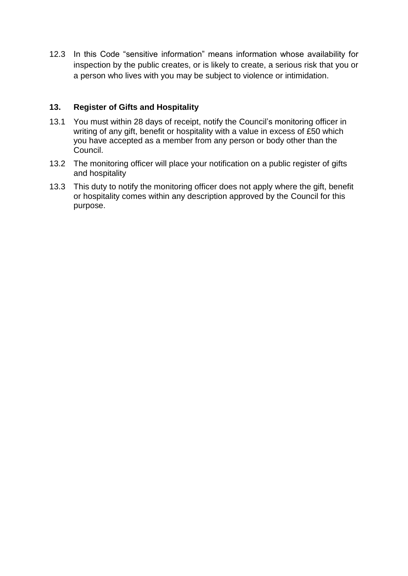12.3 In this Code "sensitive information" means information whose availability for inspection by the public creates, or is likely to create, a serious risk that you or a person who lives with you may be subject to violence or intimidation.

## **13. Register of Gifts and Hospitality**

- 13.1 You must within 28 days of receipt, notify the Council's monitoring officer in writing of any gift, benefit or hospitality with a value in excess of £50 which you have accepted as a member from any person or body other than the Council.
- 13.2 The monitoring officer will place your notification on a public register of gifts and hospitality
- 13.3 This duty to notify the monitoring officer does not apply where the gift, benefit or hospitality comes within any description approved by the Council for this purpose.